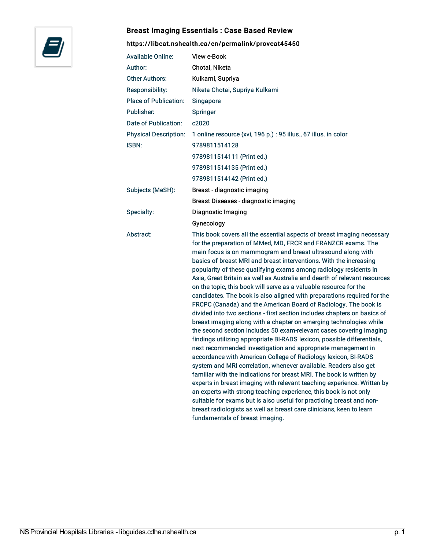

## Breast Imaging Essentials : Case Based Review

## <https://libcat.nshealth.ca/en/permalink/provcat45450>

| <b>Available Online:</b>     | View e-Book                                                                                                                                                                                                                                                                                                                                                                                                                                                                                                                                                                                                                                                                                                                                                                                                                                                                                                                                                                                                                                                                                                                                                                                                                                                                                                                                                                                                                                                                                                                                                           |
|------------------------------|-----------------------------------------------------------------------------------------------------------------------------------------------------------------------------------------------------------------------------------------------------------------------------------------------------------------------------------------------------------------------------------------------------------------------------------------------------------------------------------------------------------------------------------------------------------------------------------------------------------------------------------------------------------------------------------------------------------------------------------------------------------------------------------------------------------------------------------------------------------------------------------------------------------------------------------------------------------------------------------------------------------------------------------------------------------------------------------------------------------------------------------------------------------------------------------------------------------------------------------------------------------------------------------------------------------------------------------------------------------------------------------------------------------------------------------------------------------------------------------------------------------------------------------------------------------------------|
| Author:                      | Chotai, Niketa                                                                                                                                                                                                                                                                                                                                                                                                                                                                                                                                                                                                                                                                                                                                                                                                                                                                                                                                                                                                                                                                                                                                                                                                                                                                                                                                                                                                                                                                                                                                                        |
| <b>Other Authors:</b>        | Kulkarni, Supriya                                                                                                                                                                                                                                                                                                                                                                                                                                                                                                                                                                                                                                                                                                                                                                                                                                                                                                                                                                                                                                                                                                                                                                                                                                                                                                                                                                                                                                                                                                                                                     |
| Responsibility:              | Niketa Chotai, Supriya Kulkarni                                                                                                                                                                                                                                                                                                                                                                                                                                                                                                                                                                                                                                                                                                                                                                                                                                                                                                                                                                                                                                                                                                                                                                                                                                                                                                                                                                                                                                                                                                                                       |
| <b>Place of Publication:</b> | Singapore                                                                                                                                                                                                                                                                                                                                                                                                                                                                                                                                                                                                                                                                                                                                                                                                                                                                                                                                                                                                                                                                                                                                                                                                                                                                                                                                                                                                                                                                                                                                                             |
| Publisher:                   | Springer                                                                                                                                                                                                                                                                                                                                                                                                                                                                                                                                                                                                                                                                                                                                                                                                                                                                                                                                                                                                                                                                                                                                                                                                                                                                                                                                                                                                                                                                                                                                                              |
| Date of Publication:         | c <sub>2020</sub>                                                                                                                                                                                                                                                                                                                                                                                                                                                                                                                                                                                                                                                                                                                                                                                                                                                                                                                                                                                                                                                                                                                                                                                                                                                                                                                                                                                                                                                                                                                                                     |
| <b>Physical Description:</b> | 1 online resource (xvi, 196 p.) : 95 illus., 67 illus. in color                                                                                                                                                                                                                                                                                                                                                                                                                                                                                                                                                                                                                                                                                                                                                                                                                                                                                                                                                                                                                                                                                                                                                                                                                                                                                                                                                                                                                                                                                                       |
| <b>ISBN:</b>                 | 9789811514128                                                                                                                                                                                                                                                                                                                                                                                                                                                                                                                                                                                                                                                                                                                                                                                                                                                                                                                                                                                                                                                                                                                                                                                                                                                                                                                                                                                                                                                                                                                                                         |
|                              | 9789811514111 (Print ed.)                                                                                                                                                                                                                                                                                                                                                                                                                                                                                                                                                                                                                                                                                                                                                                                                                                                                                                                                                                                                                                                                                                                                                                                                                                                                                                                                                                                                                                                                                                                                             |
|                              | 9789811514135 (Print ed.)                                                                                                                                                                                                                                                                                                                                                                                                                                                                                                                                                                                                                                                                                                                                                                                                                                                                                                                                                                                                                                                                                                                                                                                                                                                                                                                                                                                                                                                                                                                                             |
|                              | 9789811514142 (Print ed.)                                                                                                                                                                                                                                                                                                                                                                                                                                                                                                                                                                                                                                                                                                                                                                                                                                                                                                                                                                                                                                                                                                                                                                                                                                                                                                                                                                                                                                                                                                                                             |
| Subjects (MeSH):             | Breast - diagnostic imaging                                                                                                                                                                                                                                                                                                                                                                                                                                                                                                                                                                                                                                                                                                                                                                                                                                                                                                                                                                                                                                                                                                                                                                                                                                                                                                                                                                                                                                                                                                                                           |
|                              | Breast Diseases - diagnostic imaging                                                                                                                                                                                                                                                                                                                                                                                                                                                                                                                                                                                                                                                                                                                                                                                                                                                                                                                                                                                                                                                                                                                                                                                                                                                                                                                                                                                                                                                                                                                                  |
| Specialty:                   | Diagnostic Imaging                                                                                                                                                                                                                                                                                                                                                                                                                                                                                                                                                                                                                                                                                                                                                                                                                                                                                                                                                                                                                                                                                                                                                                                                                                                                                                                                                                                                                                                                                                                                                    |
|                              | Gynecology                                                                                                                                                                                                                                                                                                                                                                                                                                                                                                                                                                                                                                                                                                                                                                                                                                                                                                                                                                                                                                                                                                                                                                                                                                                                                                                                                                                                                                                                                                                                                            |
| Abstract:                    | This book covers all the essential aspects of breast imaging necessary<br>for the preparation of MMed, MD, FRCR and FRANZCR exams. The<br>main focus is on mammogram and breast ultrasound along with<br>basics of breast MRI and breast interventions. With the increasing<br>popularity of these qualifying exams among radiology residents in<br>Asia, Great Britain as well as Australia and dearth of relevant resources<br>on the topic, this book will serve as a valuable resource for the<br>candidates. The book is also aligned with preparations required for the<br>FRCPC (Canada) and the American Board of Radiology. The book is<br>divided into two sections - first section includes chapters on basics of<br>breast imaging along with a chapter on emerging technologies while<br>the second section includes 50 exam-relevant cases covering imaging<br>findings utilizing appropriate BI-RADS lexicon, possible differentials,<br>next recommended investigation and appropriate management in<br>accordance with American College of Radiology lexicon, BI-RADS<br>system and MRI correlation, whenever available. Readers also get<br>familiar with the indications for breast MRI. The book is written by<br>experts in breast imaging with relevant teaching experience. Written by<br>an experts with strong teaching experience, this book is not only<br>suitable for exams but is also useful for practicing breast and non-<br>breast radiologists as well as breast care clinicians, keen to learn<br>fundamentals of breast imaging. |